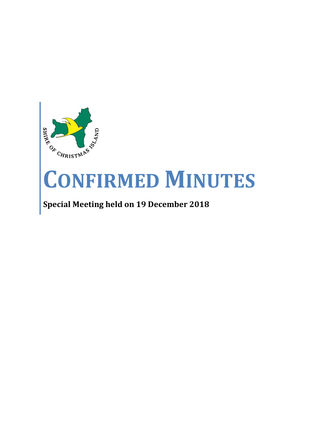

# **CONFIRMED MINUTES**

## **Special Meeting held on 19 December 2018**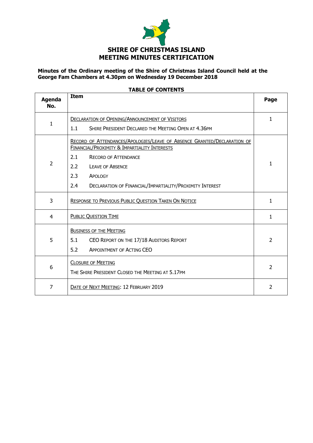

#### **Minutes of the Ordinary meeting of the Shire of Christmas Island Council held at the George Fam Chambers at 4.30pm on Wednesday 19 December 2018**

| Agenda       | נוחווועט וט בומאו<br><b>Item</b>                                                                                        | Page           |
|--------------|-------------------------------------------------------------------------------------------------------------------------|----------------|
| No.          |                                                                                                                         |                |
| $\mathbf{1}$ | <b>DECLARATION OF OPENING/ANNOUNCEMENT OF VISITORS</b>                                                                  | 1              |
|              | 1.1<br>SHIRE PRESIDENT DECLARED THE MEETING OPEN AT 4.36PM                                                              |                |
| 2            | RECORD OF ATTENDANCES/APOLOGIES/LEAVE OF ABSENCE GRANTED/DECLARATION OF<br>FINANCIAL/PROXIMITY & IMPARTIALITY INTERESTS |                |
|              | 2.1<br><b>RECORD OF ATTENDANCE</b>                                                                                      |                |
|              | 2.2<br><b>LEAVE OF ABSENCE</b>                                                                                          | 1              |
|              | 2.3<br><b>APOLOGY</b>                                                                                                   |                |
|              | 2.4<br>DECLARATION OF FINANCIAL/IMPARTIALITY/PROXIMITY INTEREST                                                         |                |
| 3            | <b>RESPONSE TO PREVIOUS PUBLIC QUESTION TAKEN ON NOTICE</b>                                                             | 1              |
| 4            | <b>PUBLIC QUESTION TIME</b>                                                                                             | $\mathbf{1}$   |
| 5            | <b>BUSINESS OF THE MEETING</b>                                                                                          |                |
|              | 5.1<br>CEO REPORT ON THE 17/18 AUDITORS REPORT                                                                          | $\overline{2}$ |
|              | 5.2<br><b>APPOINTMENT OF ACTING CEO</b>                                                                                 |                |
| 6            | <b>CLOSURE OF MEETING</b>                                                                                               |                |
|              | THE SHIRE PRESIDENT CLOSED THE MEETING AT 5.17PM                                                                        | $\overline{2}$ |
| 7            | DATE OF NEXT MEETING: 12 FEBRUARY 2019                                                                                  | $\overline{2}$ |

#### **TABLE OF CONTENTS**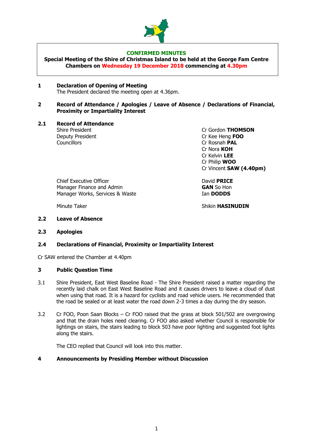

#### **CONFIRMED MINUTES**

**Special Meeting of the Shire of Christmas Island to be held at the George Fam Centre Chambers on Wednesday 19 December 2018 commencing at 4.30pm**

#### **1 Declaration of Opening of Meeting**  The President declared the meeting open at 4.36pm.

**2 Record of Attendance / Apologies / Leave of Absence / Declarations of Financial, Proximity or Impartiality Interest**

#### **2.1 Record of Attendance**

Deputy President Cr Kee Heng **FOO** Councillors Cr Rosnah **PAL**

Shire President **Criminal Criminal Criminal Criminal Criminal Criminal Criminal Criminal Criminal Criminal Criminal Orientation Criminal Criminal Criminal Orientation Criminal Criminal Orientation Criminal Orientation Crim** Cr Nora **KOH** Cr Kelvin **LEE** Cr Philip **WOO** Cr Vincent **SAW (4.40pm)**

Chief Executive Officer **Chief Executive Officer**<br>Manager Finance and Admin **Manager Finance and Admin** Manager Works, Services & Waste **Ian DODDS** 

Minute Taker **Nights and Shikin HASINUDIN** Shikin **HASINUDIN** 

#### **2.2 Leave of Absence**

**2.3 Apologies**

#### **2.4 Declarations of Financial, Proximity or Impartiality Interest**

Cr SAW entered the Chamber at 4.40pm

#### **3 Public Question Time**

- 3.1 Shire President, East West Baseline Road The Shire President raised a matter regarding the recently laid chalk on East West Baseline Road and it causes drivers to leave a cloud of dust when using that road. It is a hazard for cyclists and road vehicle users. He recommended that the road be sealed or at least water the road down 2-3 times a day during the dry season.
- 3.2 Cr FOO, Poon Saan Blocks Cr FOO raised that the grass at block 501/502 are overgrowing and that the drain holes need clearing. Cr FOO also asked whether Council is responsible for lightings on stairs, the stairs leading to block 503 have poor lighting and suggested foot lights along the stairs.

The CEO replied that Council will look into this matter.

#### **4 Announcements by Presiding Member without Discussion**